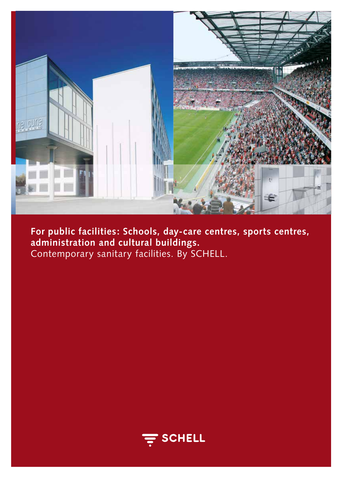

**For public facilities: Schools, day-care centres, sports centres, administration and cultural buildings.**  Contemporary sanitary facilities. By SCHELL.

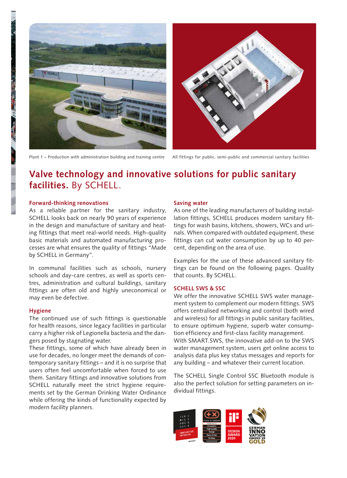





## **Valve technology and innovative solutions for public sanitary facilities.** By SCHELL.

#### **Forward-thinking renovations**

As a reliable partner for the sanitary industry, SCHELL looks back on nearly 90 years of experience in the design and manufacture of sanitary and heating fittings that meet real-world needs. High-quality basic materials and automated manufacturing processes are what ensures the quality of fittings "Made by SCHELL in Germany".

In communal facilities such as schools, nursery schools and day-care centres, as well as sports centres, administration and cultural buildings, sanitary fittings are often old and highly uneconomical or may even be defective.

### **Hygiene**

The continued use of such fittings is questionable for health reasons, since legacy facilities in particular carry a higher risk of Legionella bacteria and the dangers posed by stagnating water.

These fittings, some of which have already been in use for decades, no longer meet the demands of contemporary sanitary fittings – and it is no surprise that users often feel uncomfortable when forced to use them. Sanitary fittings and innovative solutions from SCHELL naturally meet the strict hygiene requirements set by the German Drinking Water Ordinance while offering the kinds of functionality expected by modern facility planners.

#### **Saving water**

As one of the leading manufacturers of building installation fittings, SCHELL produces modern sanitary fittings for wash basins, kitchens, showers, WCs and urinals. When compared with outdated equipment, these fittings can cut water consumption by up to 40 percent, depending on the area of use.

Examples for the use of these advanced sanitary fittings can be found on the following pages. Quality that counts. By SCHELL.

#### **SCHELL SWS & SSC**

We offer the innovative SCHELL SWS water management system to complement our modern fittings. SWS offers centralised networking and control (both wired and wireless) for all fittings in public sanitary facilities, to ensure optimum hygiene, superb water consumption efficiency and first-class facility management. With SMART.SWS, the innovative add-on to the SWS water management system, users get online access to analysis data plus key status messages and reports for any building – and whatever their current location.

The SCHELL Single Control SSC Bluetooth module is also the perfect solution for setting parameters on individual fittings.

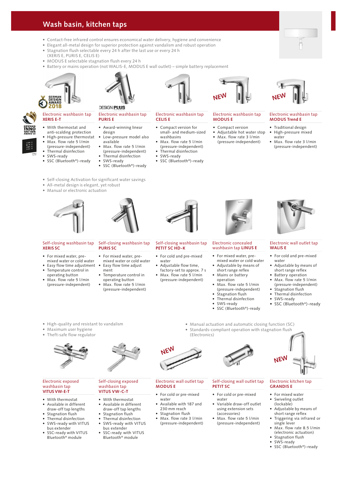### **Wash basin, kitchen taps**

- Contact-free infrared control ensures economical water delivery, hygiene and convenience
- Elegant all-metal design for superior protection against vandalism and robust operation
- Stagnation flush selectable every 24 h after the last use or every 24 h
- (XERIS E, PURIS E, CELIS E) • MODUS E selectable stagnation flush every 24 h
- Battery or mains operation (not WALIS-E, MODUS E wall outlet) simple battery replacement



#### Electronic washbasin tap **XERIS E-T**

- With thermostat and
- anti-scalding protection **•** High-pressure thermostat
- Max. flow rate 5 l/min
- (pressure-independent)
- Thermal disinfection
- SWS-ready
- SSC (Bluetooth®)-ready



**DESIGN PLUS** 

 available **•** Max. flow rate 5 l/min

Electronic washbasin tap

- (pressure-independent) • Thermal disinfection
- SWS-ready
- SSC (Bluetooth®)-ready



#### Electronic washbasin tap **CELIS E**

- Compact version for small- and medium-sized washbasins
- Max. flow rate 5 l/min
- (pressure-independent) • Thermal disinfection
- SWS-ready • SSC (Bluetooth®)-ready

# Electronic washbasin tap

**MODUS E**

**NEW**

- Compact version
- Adjustable hot water stop **•** Max. flow rate 3 l/min
- (pressure-independent)



#### Electronic washbasin tap **MODUS Trend E**

- Traditional design • High-pressure mixed
- water
- Max. flow rate 3 l/min (pressure-independent)

Electronic wall outlet tap

• For cold and pre-mixed

• Adjustable by means of short range reflex **•** Battery operation • Max. flow rate 5 l/min (pressure-independent) **Stagnation flush** • Thermal disinfection

• SSC (Bluetooth®)-ready

**WALIS E** 

water

**•** SWS-ready

- Self-closing Activation for significant water savings
- All-metal design is elegant, yet robust
- Manual or electronic actuation





#### Self-closing washbasin tap **XERIS SC**

- For mixed water, premixed water or cold water
- Easy flow time adjustment Temperature control in
- operating button **•** Max. flow rate 5 l/min (pressure-independent)



Self-closing washbasin tap

- ment • Temperature control in
- operating button **•** Max. flow rate 5 l/min (pressure-independent)



#### Self-closing washbasin tap **PETIT SC HD-K**

- For cold and pre-mixed water
- Adjustable flow time, factory-set to approx. 7 s
- Max. flow rate 5 l/min (pressure-independent)



#### Electronic concealed washbasin tap **LINUS E**

- For mixed water, premixed water or cold water
- short range reflex
- operation
- (pressure-independent) • Stagnation flush
- Thermal disinfection
- SWS-ready
- SSC (Bluetooth®)-ready
- -
- Manual actuation and automatic closing function (SC) • Standards-compliant operation with stagnation flush (Electronics)
- High-quality and resistant to vandalism • Maximum user hygiene
- Theft-safe flow regulator



#### Electronic exposed washbasin tap **VITUS VW-E-T**

- With thermostat
- Available in different draw-off tap lengths
- Stagnation flush
- Thermal disinfection
- SWS-ready with VITUS
- bus extender SSC-ready with VITUS
- Bluetooth® module

Self-closing exposed washbasin tap

- **VITUS VW-C-T** • With thermostat
- Available in different draw-off tap lengths
- Stagnation flush
	- Thermal disinfection **•** SWS-ready with VITUS
	- bus extender SSC-ready with VITUS Bluetooth® module



#### Electronic wall outlet tap **MODUS E**

- For cold or pre-mixed water
- Available with 187 and 230 mm reach
- Stagnation flush **•** Max. flow rate 3 l/min (pressure-independent)



#### Self-closing wall outlet tap **PETIT SC**

- For cold or pre-mixed water
- Variable draw-off outlet using extension sets (accessories)
- Max. flow rate 5 l/min (pressure-independent)

#### Electronic kitchen tap **GRANDIS E**

• For mixed water Swiveling outlet

**NEW**

- (lockable) • Adjustable by means of
- short range reflex **•** Triggering via infrared or
- single lever **•** Max. flow rate 8.5 l/min
	- (electronic actuation) Stagnation flush
- SWS-ready
- SSC (Bluetooth®)-ready

• Adjustable by means of **•** Mains or battery **•** Max. flow rate 5 l/min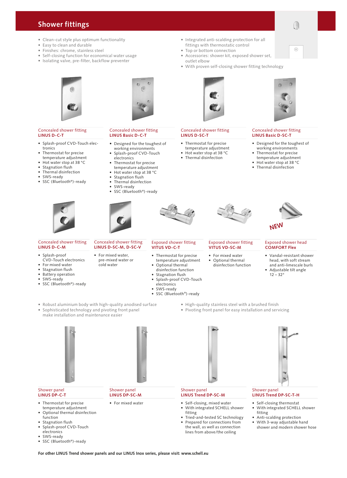### **Shower fittings**

- Clean-cut style plus optimum functionality
- Easy to clean and durable
- Finishes: chrome, stainless steel
- Self-closing function for economical water usage
- Isolating valve, pre-filter, backflow preventer



#### Concealed shower fitting **LINUS D-C-T**

- Splash-proof CVD-Touch electronics
- Thermostat for precise temperature adjustment
- Hot water stop at 38 °C
- Stagnation flush
- Thermal disinfection
- SWS-ready
- SSC (Bluetooth®)-ready



#### Concealed shower fitting **LINUS D-C-M**

- Splash-proof CVD-Touch electronics • For mixed water
- Stagnation flush
- Battery operation
- SWS-ready
- SSC (Bluetooth®)-ready

# Concealed shower fitting

### • For mixed water,

- pre-mixed water or cold water
	-
- 

# **LINUS D-SC-M, D-SC-V**

- -
- 
- SWS-ready
- SSC (Bluetooth®)-ready

## **VITUS VD-SC-M**

• For mixed water • Optional thermal

- Integrated anti-scalding protection for all fittings with thermostatic control
- Top or bottom connection
- Accessories: shower kit, exposed shower set, outlet elbow
- With proven self-closing shower fitting technology



#### Concealed shower fitting **LINUS D-SC-T**

- Thermostat for precise temperature adjustment
- Hot water stop at 38 °C
- Thermal disinfection



#### Concealed shower fitting **LINUS Basic D-SC-T**

- Designed for the toughest of working environments
- Thermostat for precise temperature adjustment
- Hot water stop at 38 °C
- Thermal disinfection



#### Exposed shower head **COMFORT Flex**

- Vandal-resistant shower head, with soft stream and anti-limescale burls • Adjustable tilt angle
	- $12 32^{\circ}$
- Robust aluminium body with high-quality anodised surface • Sophisticated technology and pivoting front panel • High-quality stainless steel with a brushed finish
	- Pivoting front panel for easy installation and servicing

make installation and maintenance easier



- Thermostat for precise temperature adjustment
- Optional thermal disinfection function
- Stagnation flush • Splash-proof CVD-Touch
- electronics SWS-ready
- SSC (Bluetooth®)-ready



#### Shower panel **LINUS DP-SC-M**

• For mixed water

#### Shower panel **LINUS Trend DP-SC-M**

- Self-closing, mixed water
- With integrated SCHELL shower fitting
- Tried-and-tested SC technology
- Prepared for connections from
- the wall, as well as connection lines from above/the ceiling



#### Shower panel **LINUS Trend DP-SC-T-H**

- Self-closing thermostat
- With integrated SCHELL shower fitting
- Anti-scalding protection
- With 3-way adjustable hand shower and modern shower hose

 $\sqrt{4}$ 



Concealed shower fitting **LINUS Basic D-C-T**

electronics

• Designed for the toughest of working environments • Splash-proof CVD-Touch

Thermostat for precise temperature adjustment • Hot water stop at 38 °C Stagnation flush • Thermal disinfection • SWS-ready

• SSC (Bluetooth®)-ready

## **VITUS VD-C-T**

- Thermostat for precise temperature adjustment
- Optional thermal
- disinfection function Stagnation flush
- Splash-proof CVD-Touch
- electronics
- 
- Exposed shower fitting

# Exposed shower fitting

- 
- disinfection function

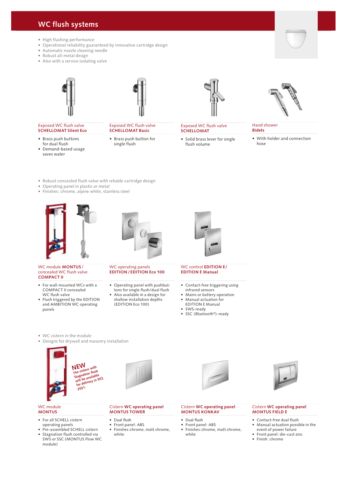### **WC flush systems**

- High flushing performance
- Operational reliability guaranteed by innovative cartridge design
- Automatic nozzle cleaning needle
- Robust all-metal design
- Also with a service isolating valve





#### Exposed WC flush valve **SCHELLOMAT Silent Eco**

- Brass push buttons for dual flush
- Demand-based usage saves water



• Brass push button for single flush



#### Exposed WC flush valve **SCHELLOMAT**

• Solid brass lever for single flush volume



• With holder and connection hose

- Robust concealed flush valve with reliable cartridge design
- Operating panel in plastic or metal
- Finishes: chrome, alpine white, stainless steel





#### WC module **MONTUS** / concealed WC flush valve **COMPACT II**

- For wall-mounted WCs with a COMPACT II concealed WC flush valve
- Flush triggered by the EDITION and AMBITION WC operating panels

#### WC operating panels **EDITION / EDITION Eco 100**

- Operating panel with pushbuttons for single flush/dual flush
- Also available in a design for shallow installation depths (EDITION Eco 100)



#### WC control **EDITION E / EDITION E Manual**

- 
- Mains or battery operation
- Manual actuation for
- EDITION E Manual
- 
- 

- WC cistern in the module
- Designs for drywall and masonry installation





#### WC module **MONTUS**

- For all SCHELL cistern operating panels
- Pre-assembled SCHELL cistern Stagnation flush controlled via SWS or SSC (MONTUS Flow WC module)

#### Cistern **WC operating panel MONTUS TOWER**

- Dual flush
- Front panel: ABS
- Finishes:chrome, matt chrome, white

#### Cistern **WC operating panel MONTUS KONKAV**

- Dual flush
- 
- Finishes:chrome, matt chrome, white



#### Cistern **WC operating panel MONTUS FIELD E**

- Contact-free dual flush
- Manual actuation possible in the event of power failure
- Front panel: die-cast zinc
- Finish: chrome



• Front panel: ABS

Hand shower

## **Bidets**

- 
- Contact-free triggering using
- infrared sensors
- 
- - SWS-ready
	- SSC (Bluetooth®)-ready



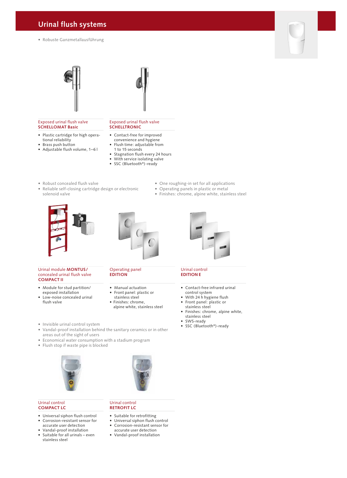### **Urinal flush systems**

• Robuste Ganzmetallausführung





#### Exposed urinal flush valve **SCHELLOMAT Basic**

- Plastic cartridge for high operational reliability
- Brass push button
- Adjustable flush volume, 1–6 l

#### Exposed urinal flush valve **SCHELLTRONIC**

- Contact-free for improved convenience and hygiene
- Flush time: adjustable from 1 to 15 seconds
- Stagnation flush every 24 hours
- With service isolating valve
- SSC (Bluetooth®)-ready
- Robust concealed flush valve
- Reliable self-closing cartridge design or electronic solenoid valve
- One roughing-in set for all applications
- Operating panels in plastic or metal
- Finishes: chrome, alpine white, stainless steel





#### Urinal module **MONTUS /**  concealed urinal flush valve **COMPACT II**

- Module for stud partition/ exposed installation
- Low-noise concealed urinal flush valve

#### Operating panel **EDITION**

- Manual actuation
- Front panel: plastic or
- stainless steel

Urinal control **RETROFIT LC**

• Suitable for retrofitting • Universal siphon flush control<br>• Corrosion-resistant sensor for • Corrosion-resistant sensor for accurate user detection • Vandal-proof installation

- alpine white, stainless steel
- Invisible urinal control system
- Vandal-proof installation behind the sanitary ceramics or in other areas out of the sight of users
- Economical water consumption with a stadium program
- Flush stop if waste pipe is blocked



#### Urinal control **COMPACT LC**

- Universal siphon flush control
- Corrosion-resistant sensor for
- accurate user detection • Vandal-proof installation
- Suitable for all urinals even
- stainless steel

- 
- 
- Finishes: chrome,
- 



#### Urinal control **EDITION E**

- Contact-free infrared urinal control system
- With 24 h hygiene flush
- Front panel: plastic or stainless steel
- Finishes: chrome, alpine white, stainless steel
- SWS-ready
- SSC (Bluetooth®)-ready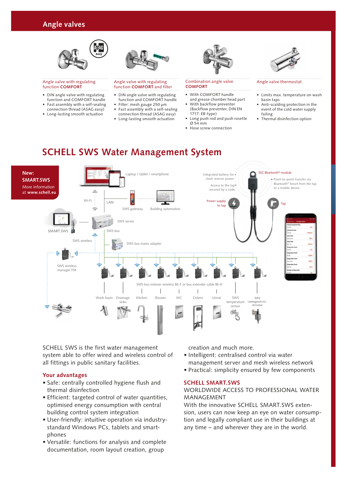

#### Angle valve with regulating function **COMFORT**

- DIN angle valve with regulating function and COMFORT handle
- Fast assembly with a self-sealing connection thread (ASAG easy)
- Long-lasting smooth actuation



#### Angle valve with regulating function **COMFORT** and filter

- DIN angle valve with regulating function and COMFORT handle
- Filter: mesh gauge 250 µm
- Fast assembly with a self-sealing connection thread (ASAG easy)
- Long-lasting smooth actuation



#### Combination angle valve **COMFORT**

- With COMFORT handle and grease chamber head part
- With backflow preventer (Backflow preventer, DIN EN
- 1717: EB-type)
- Long push rod and push rosette Ø 54 mm
- Hose screw connection



#### Angle valve thermostat

- Limits max. temperature on wash basin taps
- Anti-scalding protection in the event of the cold water supply failing
- Thermal disinfection option

### **SCHELL SWS Water Management System**



SCHELL SWS is the first water management system able to offer wired and wireless control of all fittings in public sanitary facilities.

### **Your advantages**

- Safe: centrally controlled hygiene flush and thermal disinfection
- Efficient: targeted control of water quantities, optimised energy consumption with central building control system integration
- User-friendly: intuitive operation via industrystandard Windows PCs, tablets and smart phones
- Versatile: functions for analysis and complete documentation, room layout creation, group

creation and much more.

- Intelligent: centralised control via water management server and mesh wireless network
- Practical: simplicity ensured by few components

### **SCHELL SMART.SWS**

### WORLDWIDE ACCESS TO PROFESSIONAL WATER **MANAGEMENT**

With the innovative SCHELL SMART.SWS extension, users can now keep an eye on water consumption and legally compliant use in their buildings at any time – and wherever they are in the world.